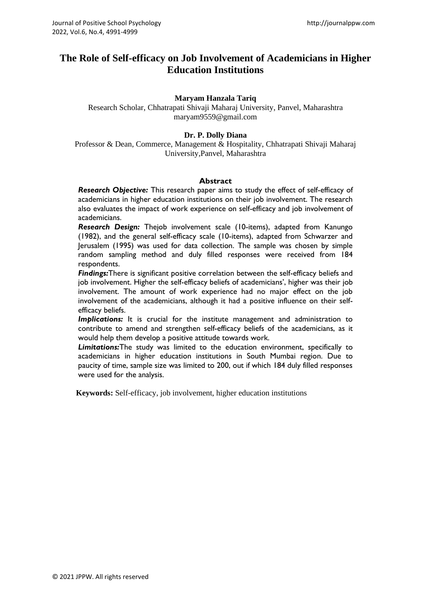# **The Role of Self-efficacy on Job Involvement of Academicians in Higher Education Institutions**

#### **Maryam Hanzala Tariq**

Research Scholar, Chhatrapati Shivaji Maharaj University, Panvel, Maharashtra maryam9559@gmail.com

#### **Dr. P. Dolly Diana**

Professor & Dean, Commerce, Management & Hospitality, Chhatrapati Shivaji Maharaj University,Panvel, Maharashtra

#### **Abstract**

*Research Objective:* This research paper aims to study the effect of self-efficacy of academicians in higher education institutions on their job involvement. The research also evaluates the impact of work experience on self-efficacy and job involvement of academicians.

*Research Design:* Thejob involvement scale (10-items), adapted from Kanungo (1982), and the general self-efficacy scale (10-items), adapted from Schwarzer and Jerusalem (1995) was used for data collection. The sample was chosen by simple random sampling method and duly filled responses were received from 184 respondents.

*Findings:*There is significant positive correlation between the self-efficacy beliefs and job involvement. Higher the self-efficacy beliefs of academicians', higher was their job involvement. The amount of work experience had no major effect on the job involvement of the academicians, although it had a positive influence on their selfefficacy beliefs.

*Implications:* It is crucial for the institute management and administration to contribute to amend and strengthen self-efficacy beliefs of the academicians, as it would help them develop a positive attitude towards work.

*Limitations:*The study was limited to the education environment, specifically to academicians in higher education institutions in South Mumbai region. Due to paucity of time, sample size was limited to 200, out if which 184 duly filled responses were used for the analysis.

**Keywords:** Self-efficacy, job involvement, higher education institutions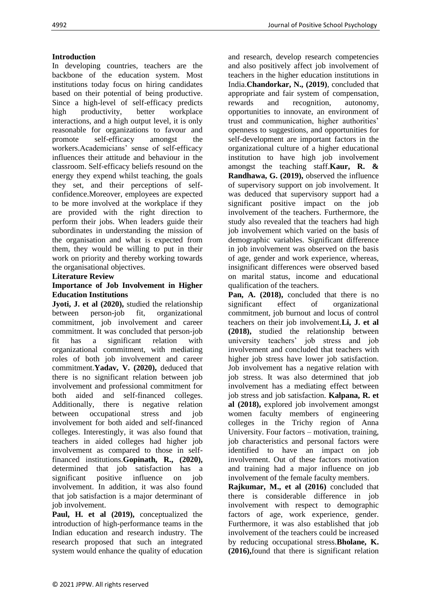## **Introduction**

In developing countries, teachers are the backbone of the education system. Most institutions today focus on hiring candidates based on their potential of being productive. Since a high-level of self-efficacy predicts high productivity, better workplace interactions, and a high output level, it is only reasonable for organizations to favour and promote self-efficacy amongst the workers.Academicians' sense of self-efficacy influences their attitude and behaviour in the classroom. Self-efficacy beliefs resound on the energy they expend whilst teaching, the goals they set, and their perceptions of selfconfidence.Moreover, employees are expected to be more involved at the workplace if they are provided with the right direction to perform their jobs. When leaders guide their subordinates in understanding the mission of the organisation and what is expected from them, they would be willing to put in their work on priority and thereby working towards the organisational objectives.

### **Literature Review**

#### **Importance of Job Involvement in Higher Education Institutions**

**Jyoti, J. et al (2020),** studied the relationship between person-job fit, organizational commitment, job involvement and career commitment. It was concluded that person-job fit has a significant relation with organizational commitment, with mediating roles of both job involvement and career commitment.**Yadav, V. (2020),** deduced that there is no significant relation between job involvement and professional commitment for both aided and self-financed colleges. Additionally, there is negative relation between occupational stress and job involvement for both aided and self-financed colleges. Interestingly, it was also found that teachers in aided colleges had higher job involvement as compared to those in selffinanced institutions.**Gopinath, R., (2020),** determined that job satisfaction has a significant positive influence on job involvement. In addition, it was also found that job satisfaction is a major determinant of job involvement.

**Paul, H. et al (2019),** conceptualized the introduction of high-performance teams in the Indian education and research industry. The research proposed that such an integrated system would enhance the quality of education

and research, develop research competencies and also positively affect job involvement of teachers in the higher education institutions in India.**Chandorkar, N., (2019)**, concluded that appropriate and fair system of compensation, rewards and recognition, autonomy, opportunities to innovate, an environment of trust and communication, higher authorities' openness to suggestions, and opportunities for self-development are important factors in the organizational culture of a higher educational institution to have high job involvement amongst the teaching staff.**Kaur, R. & Randhawa, G. (2019),** observed the influence of supervisory support on job involvement. It was deduced that supervisory support had a significant positive impact on the job involvement of the teachers. Furthermore, the study also revealed that the teachers had high job involvement which varied on the basis of demographic variables. Significant difference in job involvement was observed on the basis of age, gender and work experience, whereas, insignificant differences were observed based on marital status, income and educational qualification of the teachers.

**Pan, A. (2018),** concluded that there is no significant effect of organizational commitment, job burnout and locus of control teachers on their job involvement.**Li, J. et al (2018),** studied the relationship between university teachers' job stress and job involvement and concluded that teachers with higher job stress have lower job satisfaction. Job involvement has a negative relation with job stress. It was also determined that job involvement has a mediating effect between job stress and job satisfaction. **Kalpana, R. et al (2018),** explored job involvement amongst women faculty members of engineering colleges in the Trichy region of Anna University. Four factors – motivation, training, job characteristics and personal factors were identified to have an impact on job involvement. Out of these factors motivation and training had a major influence on job involvement of the female faculty members.

**Rajkumar, M., et al (2016)** concluded that there is considerable difference in job involvement with respect to demographic factors of age, work experience, gender. Furthermore, it was also established that job involvement of the teachers could be increased by reducing occupational stress.**Bholane, K. (2016),**found that there is significant relation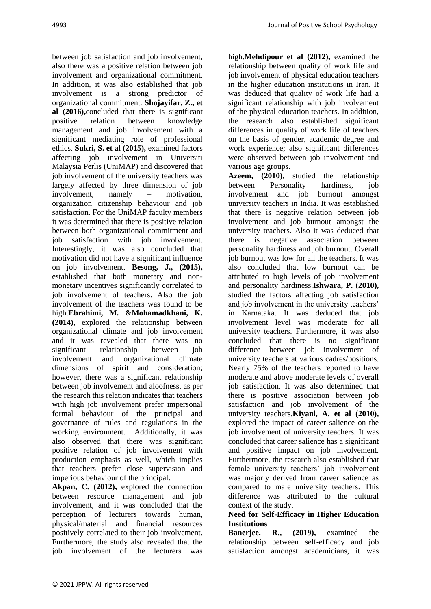between job satisfaction and job involvement, also there was a positive relation between job involvement and organizational commitment. In addition, it was also established that job involvement is a strong predictor of organizational commitment. **Shojayifar, Z., et al (2016),**concluded that there is significant positive relation between knowledge management and job involvement with a significant mediating role of professional ethics. **Sukri, S. et al (2015),** examined factors affecting job involvement in Universiti Malaysia Perlis (UniMAP) and discovered that job involvement of the university teachers was largely affected by three dimension of job involvement, namely – motivation, organization citizenship behaviour and job satisfaction. For the UniMAP faculty members it was determined that there is positive relation between both organizational commitment and job satisfaction with job involvement. Interestingly, it was also concluded that motivation did not have a significant influence on job involvement. **Besong, J., (2015),** established that both monetary and nonmonetary incentives significantly correlated to job involvement of teachers. Also the job involvement of the teachers was found to be high.**Ebrahimi, M. &Mohamadkhani, K. (2014),** explored the relationship between organizational climate and job involvement and it was revealed that there was no significant relationship between job involvement and organizational climate dimensions of spirit and consideration; however, there was a significant relationship between job involvement and aloofness, as per the research this relation indicates that teachers with high job involvement prefer impersonal formal behaviour of the principal and governance of rules and regulations in the working environment. Additionally, it was also observed that there was significant positive relation of job involvement with production emphasis as well, which implies that teachers prefer close supervision and imperious behaviour of the principal.

**Akpan, C. (2012),** explored the connection between resource management and job involvement, and it was concluded that the perception of lecturers towards human, physical/material and financial resources positively correlated to their job involvement. Furthermore, the study also revealed that the job involvement of the lecturers was

high.**Mehdipour et al (2012),** examined the relationship between quality of work life and job involvement of physical education teachers in the higher education institutions in Iran. It was deduced that quality of work life had a significant relationship with job involvement of the physical education teachers. In addition, the research also established significant differences in quality of work life of teachers on the basis of gender, academic degree and work experience; also significant differences were observed between job involvement and various age groups.

**Azeem, (2010),** studied the relationship between Personality hardiness, job involvement and job burnout amongst university teachers in India. It was established that there is negative relation between job involvement and job burnout amongst the university teachers. Also it was deduced that there is negative association between personality hardiness and job burnout. Overall job burnout was low for all the teachers. It was also concluded that low burnout can be attributed to high levels of job involvement and personality hardiness.**Ishwara, P. (2010),** studied the factors affecting job satisfaction and job involvement in the university teachers' in Karnataka. It was deduced that job involvement level was moderate for all university teachers. Furthermore, it was also concluded that there is no significant difference between job involvement of university teachers at various cadres/positions. Nearly 75% of the teachers reported to have moderate and above moderate levels of overall job satisfaction. It was also determined that there is positive association between job satisfaction and job involvement of the university teachers.**Kiyani, A. et al (2010),** explored the impact of career salience on the job involvement of university teachers. It was concluded that career salience has a significant and positive impact on job involvement. Furthermore, the research also established that female university teachers' job involvement was majorly derived from career salience as compared to male university teachers. This difference was attributed to the cultural context of the study.

# **Need for Self-Efficacy in Higher Education Institutions**

**Banerjee, R., (2019),** examined the relationship between self-efficacy and job satisfaction amongst academicians, it was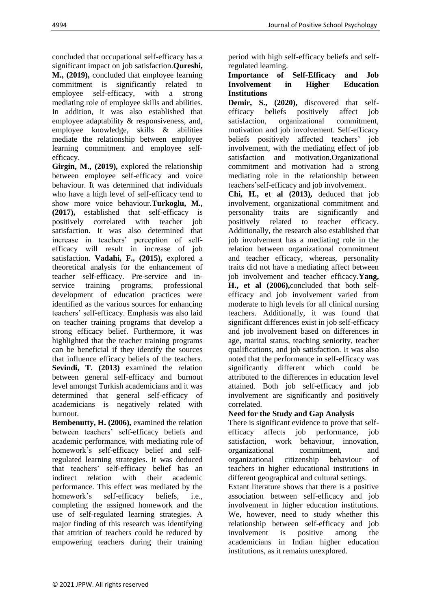concluded that occupational self-efficacy has a significant impact on job satisfaction.**Qureshi, M., (2019),** concluded that employee learning commitment is significantly related to employee self-efficacy, with a strong mediating role of employee skills and abilities. In addition, it was also established that employee adaptability & responsiveness, and, employee knowledge, skills & abilities mediate the relationship between employee learning commitment and employee selfefficacy.

**Girgin, M., (2019),** explored the relationship between employee self-efficacy and voice behaviour. It was determined that individuals who have a high level of self-efficacy tend to show more voice behaviour.**Turkoglu, M., (2017),** established that self-efficacy is positively correlated with teacher job satisfaction. It was also determined that increase in teachers' perception of selfefficacy will result in increase of job satisfaction. **Vadahi, F., (2015),** explored a theoretical analysis for the enhancement of teacher self-efficacy. Pre-service and inservice training programs, professional development of education practices were identified as the various sources for enhancing teachers' self-efficacy. Emphasis was also laid on teacher training programs that develop a strong efficacy belief. Furthermore, it was highlighted that the teacher training programs can be beneficial if they identify the sources that influence efficacy beliefs of the teachers. **Sevindi, T. (2013)** examined the relation between general self-efficacy and burnout level amongst Turkish academicians and it was determined that general self-efficacy of academicians is negatively related with burnout.

**Bembenutty, H. (2006),** examined the relation between teachers' self-efficacy beliefs and academic performance, with mediating role of homework's self-efficacy belief and selfregulated learning strategies. It was deduced that teachers' self-efficacy belief has an indirect relation with their academic performance. This effect was mediated by the homework's self-efficacy beliefs, i.e., completing the assigned homework and the use of self-regulated learning strategies. A major finding of this research was identifying that attrition of teachers could be reduced by empowering teachers during their training period with high self-efficacy beliefs and selfregulated learning.

#### **Importance of Self-Efficacy and Job Involvement in Higher Education Institutions**

**Demir, S., (2020),** discovered that selfefficacy beliefs positively affect job satisfaction, organizational commitment, motivation and job involvement. Self-efficacy beliefs positively affected teachers' job involvement, with the mediating effect of job satisfaction and motivation.Organizational commitment and motivation had a strong mediating role in the relationship between teachers'self-efficacy and job involvement.

**Chi, H., et al (2013),** deduced that job involvement, organizational commitment and personality traits are significantly and positively related to teacher efficacy. Additionally, the research also established that job involvement has a mediating role in the relation between organizational commitment and teacher efficacy, whereas, personality traits did not have a mediating affect between job involvement and teacher efficacy.**Yang, H., et al (2006),**concluded that both selfefficacy and job involvement varied from moderate to high levels for all clinical nursing teachers. Additionally, it was found that significant differences exist in job self-efficacy and job involvement based on differences in age, marital status, teaching seniority, teacher qualifications, and job satisfaction. It was also noted that the performance in self-efficacy was significantly different which could be attributed to the differences in education level attained. Both job self-efficacy and job involvement are significantly and positively correlated.

# **Need for the Study and Gap Analysis**

There is significant evidence to prove that selfefficacy affects job performance, job satisfaction, work behaviour, innovation, organizational commitment, and organizational citizenship behaviour of teachers in higher educational institutions in different geographical and cultural settings.

Extant literature shows that there is a positive association between self-efficacy and job involvement in higher education institutions. We, however, need to study whether this relationship between self-efficacy and job involvement is positive among the academicians in Indian higher education institutions, as it remains unexplored.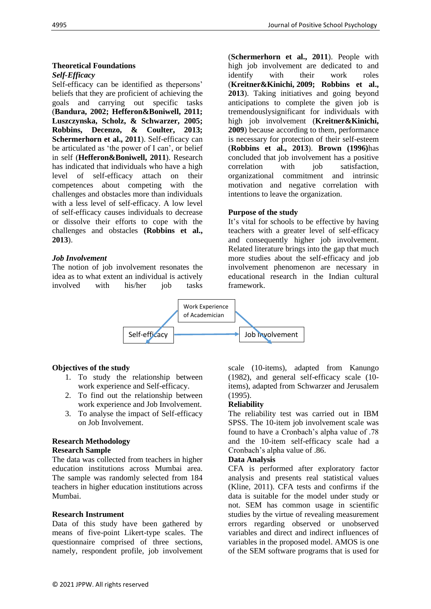#### **Theoretical Foundations** *Self-Efficacy*

Self-efficacy can be identified as thepersons' beliefs that they are proficient of achieving the goals and carrying out specific tasks (**Bandura, 2002; Hefferon&Boniwell, 2011; Luszczynska, Scholz, & Schwarzer, 2005; Robbins, Decenzo, & Coulter, 2013; Schermerhorn et al., 2011**). Self-efficacy can be articulated as 'the power of I can', or belief in self (**Hefferon&Boniwell, 2011**). Research has indicated that individuals who have a high level of self-efficacy attach on their competences about competing with the challenges and obstacles more than individuals with a less level of self-efficacy. A low level of self-efficacy causes individuals to decrease or dissolve their efforts to cope with the challenges and obstacles **(Robbins et al., 2013**).

### *Job Involvement*

The notion of job involvement resonates the idea as to what extent an individual is actively involved with his/her job tasks

(**Schermerhorn et al., 2011**). People with high job involvement are dedicated to and identify with their work roles (**Kreitner&Kinichi, 2009; Robbins et al., 2013**). Taking initiatives and going beyond anticipations to complete the given job is tremendouslysignificant for individuals with high job involvement (**Kreitner&Kinichi, 2009**) because according to them, performance is necessary for protection of their self-esteem (**Robbins et al., 2013**). **Brown (1996)**has concluded that job involvement has a positive correlation with job satisfaction. organizational commitment and intrinsic motivation and negative correlation with intentions to leave the organization.

#### **Purpose of the study**

It's vital for schools to be effective by having teachers with a greater level of self-efficacy and consequently higher job involvement. Related literature brings into the gap that much more studies about the self-efficacy and job involvement phenomenon are necessary in educational research in the Indian cultural framework.



### **Objectives of the study**

- 1. To study the relationship between work experience and Self-efficacy.
- 2. To find out the relationship between work experience and Job Involvement.
- 3. To analyse the impact of Self-efficacy on Job Involvement.

#### **Research Methodology Research Sample**

The data was collected from teachers in higher education institutions across Mumbai area. The sample was randomly selected from 184 teachers in higher education institutions across Mumbai.

### **Research Instrument**

Data of this study have been gathered by means of five-point Likert-type scales. The questionnaire comprised of three sections, namely, respondent profile, job involvement scale (10-items), adapted from Kanungo (1982), and general self-efficacy scale (10 items), adapted from Schwarzer and Jerusalem (1995).

### **Reliability**

The reliability test was carried out in IBM SPSS. The 10-item job involvement scale was found to have a Cronbach's alpha value of .78 and the 10-item self-efficacy scale had a Cronbach's alpha value of .86.

#### **Data Analysis**

CFA is performed after exploratory factor analysis and presents real statistical values (Kline, 2011). CFA tests and confirms if the data is suitable for the model under study or not. SEM has common usage in scientific studies by the virtue of revealing measurement errors regarding observed or unobserved variables and direct and indirect influences of variables in the proposed model. AMOS is one of the SEM software programs that is used for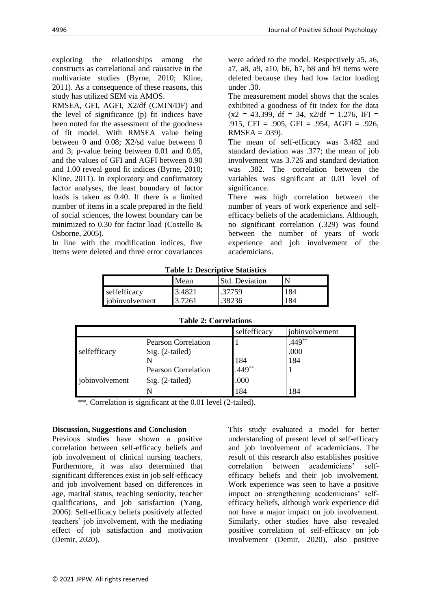exploring the relationships among the constructs as correlational and causative in the multivariate studies (Byrne, 2010; Kline, 2011). As a consequence of these reasons, this study has utilized SEM via AMOS.

RMSEA, GFI, AGFI, X2/df (CMIN/DF) and the level of significance (p) fit indices have been noted for the assessment of the goodness of fit model. With RMSEA value being between 0 and 0.08; X2/sd value between 0 and 3; p-value being between 0.01 and 0.05, and the values of GFI and AGFI between 0.90 and 1.00 reveal good fit indices (Byrne, 2010; Kline, 2011). In exploratory and confirmatory factor analyses, the least boundary of factor loads is taken as 0.40. If there is a limited number of items in a scale prepared in the field of social sciences, the lowest boundary can be minimized to 0.30 for factor load (Costello & Osborne, 2005).

In line with the modification indices, five items were deleted and three error covariances

were added to the model. Respectively a5, a6, a7, a8, a9, a10, b6, b7, b8 and b9 items were deleted because they had low factor loading under .30.

The measurement model shows that the scales exhibited a goodness of fit index for the data  $(x2 = 43.399, df = 34, x2/df = 1.276, IFI =$ .915, CFI = .905, GFI = .954, AGFI = .926,  $RMSEA = .039$ ).

The mean of self-efficacy was 3.482 and standard deviation was .377; the mean of job involvement was 3.726 and standard deviation was .382. The correlation between the variables was significant at 0.01 level of significance.

There was high correlation between the number of years of work experience and selfefficacy beliefs of the academicians. Although, no significant correlation (.329) was found between the number of years of work experience and job involvement of the academicians.

| Table 1. Descriptive Statistics |        |                       |     |  |
|---------------------------------|--------|-----------------------|-----|--|
|                                 | Mean   | <b>Std. Deviation</b> |     |  |
| selfefficacy                    | 3.4821 | .37759                | 184 |  |
| jobinvolvement                  | 3.7261 | .38236                |     |  |

| $\sim$ 0.020 1.020 0.0022.000 0.0020 0.0020 0.00 |                  |                       |           |  |
|--------------------------------------------------|------------------|-----------------------|-----------|--|
|                                                  | Mean             | <b>Std. Deviation</b> |           |  |
| selfefficacy<br>jobinvolvement                   | 3.4821<br>3.7261 | .37759<br>.38236      | -84<br>84 |  |
|                                                  |                  |                       |           |  |

**Table 1: Descriptive Statistics**

| <b>Table 2: Correlations</b> |                            |                           |                |  |  |
|------------------------------|----------------------------|---------------------------|----------------|--|--|
|                              |                            | selfefficacy              | jobinvolvement |  |  |
| selfefficacy                 | <b>Pearson Correlation</b> |                           | $.449**$       |  |  |
|                              | Sig. (2-tailed)            |                           | .000           |  |  |
|                              |                            | 184<br>.449 <sup>**</sup> | 184            |  |  |
| jobinvolvement               | <b>Pearson Correlation</b> |                           |                |  |  |
|                              | Sig. (2-tailed)            | .000                      |                |  |  |
|                              |                            | 184                       | 184            |  |  |

\*\*. Correlation is significant at the 0.01 level (2-tailed).

#### **Discussion, Suggestions and Conclusion**

Previous studies have shown a positive correlation between self-efficacy beliefs and job involvement of clinical nursing teachers. Furthermore, it was also determined that significant differences exist in job self-efficacy and job involvement based on differences in age, marital status, teaching seniority, teacher qualifications, and job satisfaction (Yang, 2006). Self-efficacy beliefs positively affected teachers' job involvement, with the mediating effect of job satisfaction and motivation (Demir, 2020).

This study evaluated a model for better understanding of present level of self-efficacy and job involvement of academicians. The result of this research also establishes positive correlation between academicians' selfefficacy beliefs and their job involvement. Work experience was seen to have a positive impact on strengthening academicians' selfefficacy beliefs, although work experience did not have a major impact on job involvement. Similarly, other studies have also revealed positive correlation of self-efficacy on job involvement (Demir, 2020), also positive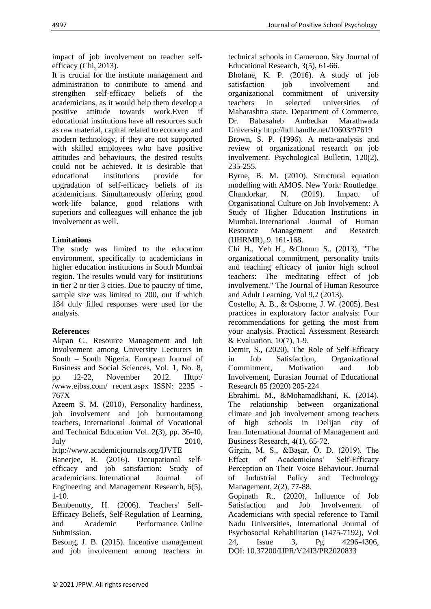impact of job involvement on teacher selfefficacy (Chi, 2013).

It is crucial for the institute management and administration to contribute to amend and strengthen self-efficacy beliefs of the academicians, as it would help them develop a positive attitude towards work.Even if educational institutions have all resources such as raw material, capital related to economy and modern technology, if they are not supported with skilled employees who have positive attitudes and behaviours, the desired results could not be achieved. It is desirable that educational institutions provide for upgradation of self-efficacy beliefs of its academicians. Simultaneously offering good work-life balance, good relations with superiors and colleagues will enhance the job involvement as well.

## **Limitations**

The study was limited to the education environment, specifically to academicians in higher education institutions in South Mumbai region. The results would vary for institutions in tier 2 or tier 3 cities. Due to paucity of time, sample size was limited to 200, out if which 184 duly filled responses were used for the analysis.

## **References**

Akpan C., Resource Management and Job Involvement among University Lecturers in South – South Nigeria. European Journal of Business and Social Sciences, Vol. 1, No. 8, pp 12-22, November 2012. Http:/ /www.ejbss.com/ recent.aspx ISSN: 2235 - 767X

Azeem S. M. (2010), Personality hardiness, job involvement and job burnoutamong teachers, International Journal of Vocational and Technical Education Vol. 2(3), pp. 36-40, July 2010,

http://www.academicjournals.org/IJVTE Banerjee, R. (2016). Occupational selfefficacy and job satisfaction: Study of academicians. International Journal of Engineering and Management Research, 6(5),  $1-10.$ 

Bembenutty, H. (2006). Teachers' Self-Efficacy Beliefs, Self-Regulation of Learning, and Academic Performance. Online Submission.

Besong, J. B. (2015). Incentive management and job involvement among teachers in technical schools in Cameroon. Sky Journal of Educational Research, 3(5), 61-66.

Bholane, K. P. (2016). A study of job satisfaction job involvement and organizational commitment of university teachers in selected universities of Maharashtra state. Department of Commerce, Dr. Babasaheb Ambedkar Marathwada University<http://hdl.handle.net/10603/97619>

Brown, S. P. (1996). A meta-analysis and review of organizational research on job involvement. Psychological Bulletin, 120(2), 235-255.

Byrne, B. M. (2010). Structural equation modelling with AMOS. New York: Routledge. Chandorkar, N. (2019). Impact of Organisational Culture on Job Involvement: A Study of Higher Education Institutions in Mumbai. International Journal of Human Resource Management and Research (IJHRMR), 9, 161-168.

Chi H., Yeh H., &Choum S., (2013), "The organizational commitment, personality traits and teaching efficacy of junior high school teachers: The meditating effect of job involvement." The Journal of Human Resource and Adult Learning, Vol 9,2 (2013).

Costello, A. B., & Osborne, J. W. (2005). Best practices in exploratory factor analysis: Four recommendations for getting the most from your analysis. Practical Assessment Research & Evaluation, 10(7), 1-9.

Demir, S., (2020), The Role of Self-Efficacy in Job Satisfaction, Organizational Commitment, Motivation and Job Involvement, Eurasian Journal of Educational Research 85 (2020) 205-224

Ebrahimi, M., &Mohamadkhani, K. (2014). The relationship between organizational climate and job involvement among teachers of high schools in Delijan city of Iran. International Journal of Management and Business Research, 4(1), 65-72.

Girgin, M. S., &Başar, Ö. D. (2019). The Effect of Academicians' Self-Efficacy Perception on Their Voice Behaviour. Journal of Industrial Policy and Technology Management, 2(2), 77-88.

Gopinath R., (2020), Influence of Job Satisfaction and Job Involvement of Academicians with special reference to Tamil Nadu Universities, International Journal of Psychosocial Rehabilitation (1475-7192), Vol 24, Issue 3, Pg 4296-4306, DOI: [10.37200/IJPR/V24I3/PR2020833](https://search.crossref.org/?from_ui=&q=10.37200/IJPR/V24I3/PR2020833)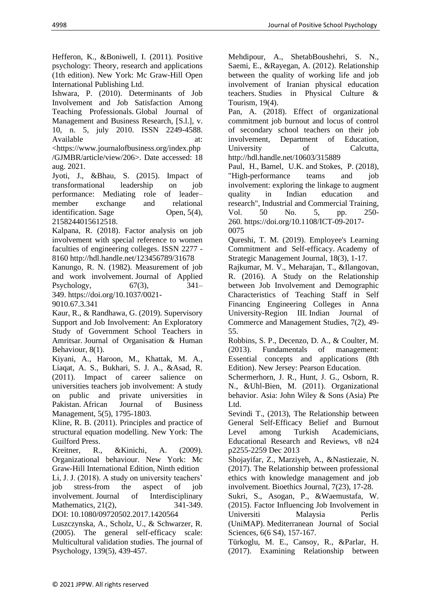Hefferon, K., &Boniwell, I. (2011). Positive psychology: Theory, research and applications (1th edition). New York: Mc Graw-Hill Open International Publishing Ltd.

Ishwara, P. (2010). Determinants of Job Involvement and Job Satisfaction Among Teaching Professionals. Global Journal of Management and Business Research, [S.l.], v. 10, n. 5, july 2010. ISSN 2249-4588. Available at:

[<https://www.journalofbusiness.org/index.php](https://www.journalofbusiness.org/index.php/GJMBR/article/view/206) [/GJMBR/article/view/206>](https://www.journalofbusiness.org/index.php/GJMBR/article/view/206). Date accessed: 18 aug. 2021.

Jyoti, J., &Bhau, S. (2015). Impact of transformational leadership on job performance: Mediating role of leader– member exchange and relational identification. Sage Open, 5(4), 2158244015612518.

Kalpana, R. (2018). Factor analysis on job involvement with special reference to women faculties of engineering colleges. ISSN 2277 - 816[0 http://hdl.handle.net/123456789/31678](http://hdl.handle.net/123456789/31678)

Kanungo, R. N. (1982). Measurement of job and work involvement. Journal of Applied Psychology,  $67(3)$ ,  $341-$ 349. [https://doi.org/10.1037/0021-](https://psycnet.apa.org/doi/10.1037/0021-9010.67.3.341)

[9010.67.3.341](https://psycnet.apa.org/doi/10.1037/0021-9010.67.3.341)

Kaur, R., & Randhawa, G. (2019). Supervisory Support and Job Involvement: An Exploratory Study of Government School Teachers in Amritsar. Journal of Organisation & Human Behaviour, 8(1).

Kiyani, A., Haroon, M., Khattak, M. A., Liaqat, A. S., Bukhari, S. J. A., &Asad, R. (2011). Impact of career salience on universities teachers job involvement: A study on public and private universities in Pakistan. African Journal of Business Management, 5(5), 1795-1803.

Kline, R. B. (2011). Principles and practice of structural equation modelling. New York: The Guilford Press.

Kreitner, R., &Kinichi, A. (2009). Organizational behaviour. New York: Mc Graw-Hill International Edition, Ninth edition Li, J. J. (2018). A study on university teachers' job stress-from the aspect of job involvement. Journal of Interdisciplinary Mathematics, 21(2), 341-349. DOI: [10.1080/09720502.2017.1420564](https://doi.org/10.1080/09720502.2017.1420564)

Luszczynska, A., Scholz, U., & Schwarzer, R. (2005). The general self-efficacy scale: Multicultural validation studies. The journal of Psychology, 139(5), 439-457.

Mehdipour, A., ShetabBoushehri, S. N., Saemi, E., &Rayegan, A. (2012). Relationship between the quality of working life and job involvement of Iranian physical education teachers. Studies in Physical Culture & Tourism, 19(4).

Pan, A. (2018). Effect of organizational commitment job burnout and locus of control of secondary school teachers on their job involvement, Department of Education, University of Calcutta, <http://hdl.handle.net/10603/315889>

Paul, H., Bamel, U.K. and Stokes, P. (2018), "High-performance teams and job involvement: exploring the linkage to augment quality in Indian education and research", [Industrial and Commercial Training,](https://www.emerald.com/insight/publication/issn/0019-7858) Vol. 50 No. 5, pp. 250- 260. [https://doi.org/10.1108/ICT-09-2017-](https://doi.org/10.1108/ICT-09-2017-0075) [0075](https://doi.org/10.1108/ICT-09-2017-0075)

Qureshi, T. M. (2019). Employee's Learning Commitment and Self-efficacy. Academy of Strategic Management Journal, 18(3), 1-17.

Rajkumar, M. V., Meharajan, T., &Ilangovan, R. (2016). A Study on the Relationship between Job Involvement and Demographic Characteristics of Teaching Staff in Self Financing Engineering Colleges in Anna University-Region III. Indian Journal of Commerce and Management Studies, 7(2), 49- 55.

Robbins, S. P., Decenzo, D. A., & Coulter, M. (2013). Fundamentals of management: Essential concepts and applications (8th Edition). New Jersey: Pearson Education.

Schermerhorn, J. R., Hunt, J. G., Osborn, R. N., &Uhl-Bien, M. (2011). Organizational behavior. Asia: John Wiley & Sons (Asia) Pte Ltd.

Sevindi T., (2013), The Relationship between General Self-Efficacy Belief and Burnout Level among Turkish Academicians, Educational Research and Reviews, v8 n24 p2255-2259 Dec 2013

Shojayifar, Z., Marziyeh, A., &Nastiezaie, N. (2017). The Relationship between professional ethics with knowledge management and job involvement. Bioethics Journal, 7(23), 17-28.

Sukri, S., Asogan, P., &Waemustafa, W. (2015). Factor Influencing Job Involvement in Universiti Malaysia Perlis (UniMAP). Mediterranean Journal of Social Sciences, 6(6 S4), 157-167.

Türkoglu, M. E., Cansoy, R., &Parlar, H. (2017). Examining Relationship between